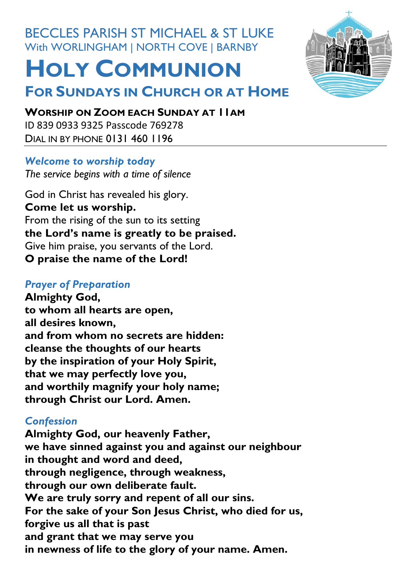# BECCLES PARISH ST MICHAEL & ST LUKE With WORLINGHAM | NORTH COVE | BARNBY

**FOR SUNDAYS IN CHURCH OR AT HOME** 

# **HOLY COMMUNION**

#### **WORSHIP ON ZOOM EACH SUNDAY AT 11AM**

ID 839 0933 9325 Passcode 769278 DIAL IN BY PHONE 0131 460 1196

#### *Welcome to worship today*

*The service begins with a time of silence*

God in Christ has revealed his glory. **Come let us worship.** From the rising of the sun to its setting **the Lord's name is greatly to be praised.** Give him praise, you servants of the Lord. **O praise the name of the Lord!**

#### *Prayer of Preparation*

**Almighty God, to whom all hearts are open, all desires known, and from whom no secrets are hidden: cleanse the thoughts of our hearts by the inspiration of your Holy Spirit, that we may perfectly love you, and worthily magnify your holy name; through Christ our Lord. Amen.**

# *Confession*

**Almighty God, our heavenly Father, we have sinned against you and against our neighbour in thought and word and deed, through negligence, through weakness, through our own deliberate fault. We are truly sorry and repent of all our sins. For the sake of your Son Jesus Christ, who died for us, forgive us all that is past and grant that we may serve you in newness of life to the glory of your name. Amen.**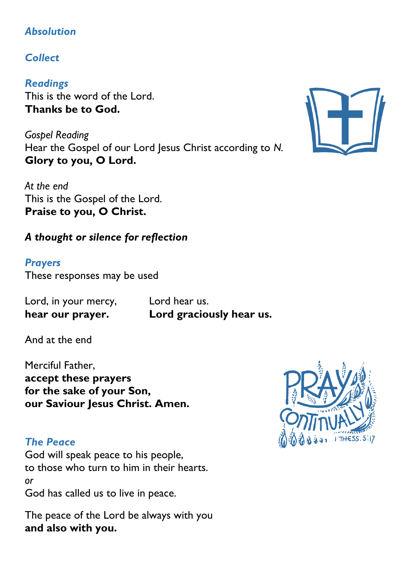### *Absolution*

# *Collect*

*Readings* This is the word of the Lord. **Thanks be to God.**

*Gospel Reading* Hear the Gospel of our Lord Jesus Christ according to *N.* **Glory to you, O Lord.**

*At the end* This is the Gospel of the Lord. **Praise to you, O Christ.**

## *A thought or silence for reflection*

# *Prayers*

These responses may be used

Lord, in your mercy, Lord hear us.

**hear our prayer. Lord graciously hear us.**

And at the end

Merciful Father, **accept these prayers for the sake of your Son, our Saviour Iesus Christ. Amen.** 

### *The Peace*

God will speak peace to his people, to those who turn to him in their hearts. *or* God has called us to live in peace.

The peace of the Lord be always with you **and also with you.**



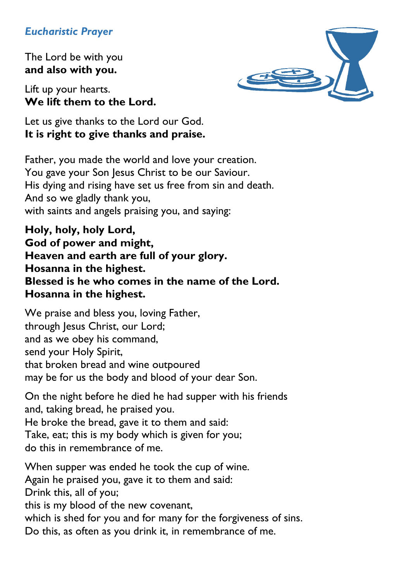#### *Eucharistic Prayer*

The Lord be with you **and also with you.**

Lift up your hearts. **We lift them to the Lord.**



Let us give thanks to the Lord our God. **It is right to give thanks and praise.**

Father, you made the world and love your creation. You gave your Son Jesus Christ to be our Saviour. His dying and rising have set us free from sin and death. And so we gladly thank you, with saints and angels praising you, and saying:

**Holy, holy, holy Lord, God of power and might, Heaven and earth are full of your glory. Hosanna in the highest. Blessed is he who comes in the name of the Lord. Hosanna in the highest.**

We praise and bless you, loving Father, through Jesus Christ, our Lord; and as we obey his command, send your Holy Spirit, that broken bread and wine outpoured may be for us the body and blood of your dear Son.

On the night before he died he had supper with his friends and, taking bread, he praised you. He broke the bread, gave it to them and said: Take, eat; this is my body which is given for you; do this in remembrance of me.

When supper was ended he took the cup of wine. Again he praised you, gave it to them and said: Drink this, all of you; this is my blood of the new covenant, which is shed for you and for many for the forgiveness of sins. Do this, as often as you drink it, in remembrance of me.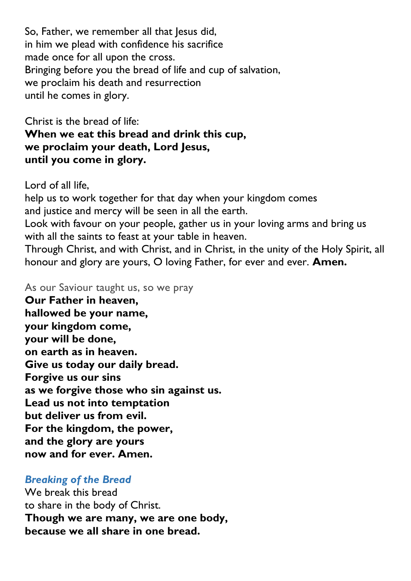So, Father, we remember all that Jesus did, in him we plead with confidence his sacrifice made once for all upon the cross. Bringing before you the bread of life and cup of salvation, we proclaim his death and resurrection until he comes in glory.

Christ is the bread of life: **When we eat this bread and drink this cup, we proclaim your death, Lord Jesus, until you come in glory.**

Lord of all life, help us to work together for that day when your kingdom comes and justice and mercy will be seen in all the earth. Look with favour on your people, gather us in your loving arms and bring us with all the saints to feast at your table in heaven. Through Christ, and with Christ, and in Christ, in the unity of the Holy Spirit, all honour and glory are yours, O loving Father, for ever and ever. **Amen.**

As our Saviour taught us, so we pray

**Our Father in heaven, hallowed be your name, your kingdom come, your will be done, on earth as in heaven. Give us today our daily bread. Forgive us our sins as we forgive those who sin against us. Lead us not into temptation but deliver us from evil. For the kingdom, the power, and the glory are yours now and for ever. Amen.**

#### *Breaking of the Bread*

We break this bread to share in the body of Christ. **Though we are many, we are one body, because we all share in one bread.**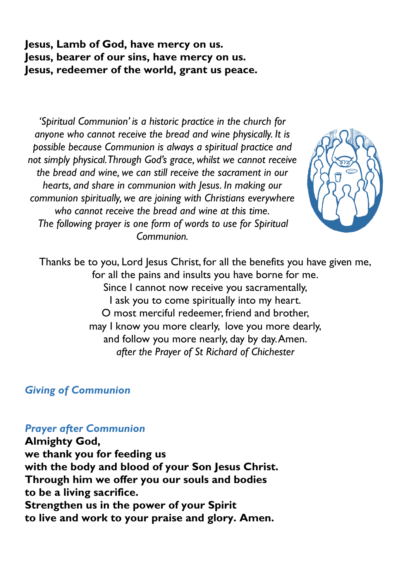**Jesus, Lamb of God, have mercy on us. Jesus, bearer of our sins, have mercy on us. Jesus, redeemer of the world, grant us peace.**

*'Spiritual Communion' is a historic practice in the church for anyone who cannot receive the bread and wine physically. It is possible because Communion is always a spiritual practice and not simply physical. Through God's grace, whilst we cannot receive the bread and wine, we can still receive the sacrament in our hearts, and share in communion with Jesus. In making our communion spiritually, we are joining with Christians everywhere who cannot receive the bread and wine at this time. The following prayer is one form of words to use for Spiritual Communion.*



Thanks be to you, Lord Jesus Christ, for all the benefits you have given me, for all the pains and insults you have borne for me. Since I cannot now receive you sacramentally, I ask you to come spiritually into my heart. O most merciful redeemer, friend and brother, may I know you more clearly, love you more dearly, and follow you more nearly, day by day. Amen. *after the Prayer of St Richard of Chichester*

#### *Giving of Communion*

#### *Prayer after Communion*

**Almighty God, we thank you for feeding us with the body and blood of your Son Jesus Christ. Through him we offer you our souls and bodies to be a living sacrifice. Strengthen us in the power of your Spirit to live and work to your praise and glory. Amen.**